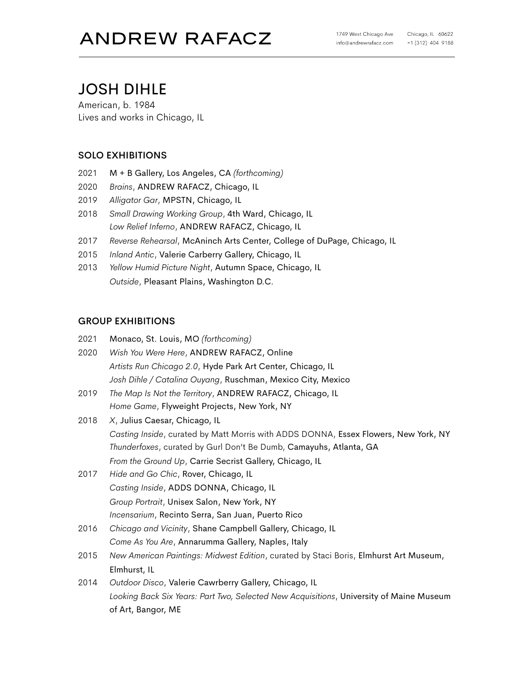# JOSH DIHLE

American, b. 1984 Lives and works in Chicago, IL

# SOLO EXHIBITIONS

- 2021 M + B Gallery, Los Angeles, CA *(forthcoming)*
- 2020 *Brains*, ANDREW RAFACZ, Chicago, IL
- 2019 *Alligator Gar*, MPSTN, Chicago, IL
- 2018 *Small Drawing Working Group*, 4th Ward, Chicago, IL *Low Relief Inferno*, ANDREW RAFACZ, Chicago, IL
- 2017 *Reverse Rehearsal*, McAninch Arts Center, College of DuPage, Chicago, IL
- 2015 *Inland Antic*, Valerie Carberry Gallery, Chicago, IL
- 2013 *Yellow Humid Picture Night*, Autumn Space, Chicago, IL *Outside*, Pleasant Plains, Washington D.C.

## GROUP EXHIBITIONS

| 2021 | Monaco, St. Louis, MO (forthcoming)                                                     |
|------|-----------------------------------------------------------------------------------------|
| 2020 | Wish You Were Here, ANDREW RAFACZ, Online                                               |
|      | Artists Run Chicago 2.0, Hyde Park Art Center, Chicago, IL                              |
|      | Josh Dihle / Catalina Ouyang, Ruschman, Mexico City, Mexico                             |
| 2019 | The Map Is Not the Territory, ANDREW RAFACZ, Chicago, IL                                |
|      | Home Game, Flyweight Projects, New York, NY                                             |
| 2018 | X, Julius Caesar, Chicago, IL                                                           |
|      | Casting Inside, curated by Matt Morris with ADDS DONNA, Essex Flowers, New York, NY     |
|      | Thunderfoxes, curated by Gurl Don't Be Dumb, Camayuhs, Atlanta, GA                      |
|      | From the Ground Up, Carrie Secrist Gallery, Chicago, IL                                 |
| 2017 | Hide and Go Chic, Rover, Chicago, IL                                                    |
|      | Casting Inside, ADDS DONNA, Chicago, IL                                                 |
|      | Group Portrait, Unisex Salon, New York, NY                                              |
|      | Incensarium, Recinto Serra, San Juan, Puerto Rico                                       |
| 2016 | Chicago and Vicinity, Shane Campbell Gallery, Chicago, IL                               |
|      | Come As You Are, Annarumma Gallery, Naples, Italy                                       |
| 2015 | New American Paintings: Midwest Edition, curated by Staci Boris, Elmhurst Art Museum,   |
|      | Elmhurst, IL                                                                            |
| 2014 | Outdoor Disco, Valerie Cawrberry Gallery, Chicago, IL                                   |
|      | Looking Back Six Years: Part Two, Selected New Acquisitions, University of Maine Museum |
|      | of Art, Bangor, ME                                                                      |
|      |                                                                                         |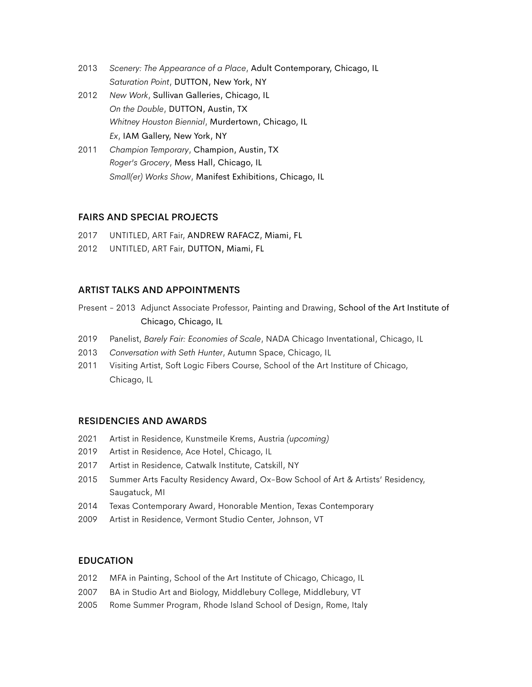- 2013 *Scenery: The Appearance of a Place*, Adult Contemporary, Chicago, IL *Saturation Point*, DUTTON, New York, NY
- 2012 *New Work*, Sullivan Galleries, Chicago, IL *On the Double*, DUTTON, Austin, TX *Whitney Houston Biennial*, Murdertown, Chicago, IL *Ex*, IAM Gallery, New York, NY
- 2011 *Champion Temporary*, Champion, Austin, TX *Roger's Grocery*, Mess Hall, Chicago, IL *Small(er) Works Show*, Manifest Exhibitions, Chicago, IL

### FAIRS AND SPECIAL PROJECTS

- 2017 UNTITLED, ART Fair, ANDREW RAFACZ, Miami, FL
- 2012 UNTITLED, ART Fair, DUTTON, Miami, FL

### ARTIST TALKS AND APPOINTMENTS

- Present 2013 Adjunct Associate Professor, Painting and Drawing, School of the Art Institute of Chicago, Chicago, IL
- 2019 Panelist, *Barely Fair: Economies of Scale*, NADA Chicago Inventational, Chicago, IL
- 2013 *Conversation with Seth Hunter*, Autumn Space, Chicago, IL
- 2011 Visiting Artist, Soft Logic Fibers Course, School of the Art Institure of Chicago, Chicago, IL

### RESIDENCIES AND AWARDS

- 2021 Artist in Residence, Kunstmeile Krems, Austria *(upcoming)*
- 2019 Artist in Residence, Ace Hotel, Chicago, IL
- 2017 Artist in Residence, Catwalk Institute, Catskill, NY
- 2015 Summer Arts Faculty Residency Award, Ox-Bow School of Art & Artists' Residency, Saugatuck, MI
- 2014 Texas Contemporary Award, Honorable Mention, Texas Contemporary
- 2009 Artist in Residence, Vermont Studio Center, Johnson, VT

### EDUCATION

- 2012 MFA in Painting, School of the Art Institute of Chicago, Chicago, IL
- 2007 BA in Studio Art and Biology, Middlebury College, Middlebury, VT
- 2005 Rome Summer Program, Rhode Island School of Design, Rome, Italy